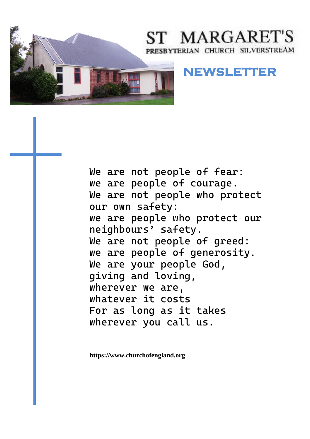

# ST MARGARET'S PRESBYTERIAN CHURCH SILVERSTREAM

# **NEWSLETTER**

We are not people of fear: we are people of courage. We are not people who protect our own safety: we are people who protect our neighbours' safety. We are not people of greed: we are people of generosity. We are your people God, giving and loving, wherever we are, whatever it costs For as long as it takes wherever you call us.

**https://www.churchofengland.org**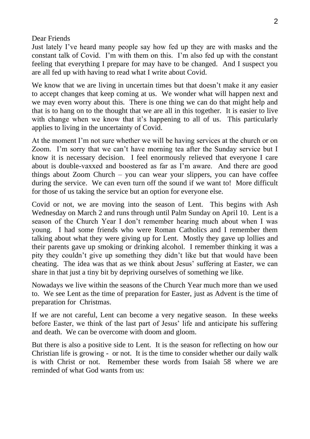#### Dear Friends

Just lately I've heard many people say how fed up they are with masks and the constant talk of Covid. I'm with them on this. I'm also fed up with the constant feeling that everything I prepare for may have to be changed. And I suspect you are all fed up with having to read what I write about Covid.

We know that we are living in uncertain times but that doesn't make it any easier to accept changes that keep coming at us. We wonder what will happen next and we may even worry about this. There is one thing we can do that might help and that is to hang on to the thought that we are all in this together. It is easier to live with change when we know that it's happening to all of us. This particularly applies to living in the uncertainty of Covid.

At the moment I'm not sure whether we will be having services at the church or on Zoom. I'm sorry that we can't have morning tea after the Sunday service but I know it is necessary decision. I feel enormously relieved that everyone I care about is double-vaxxed and boostered as far as I'm aware. And there are good things about Zoom Church – you can wear your slippers, you can have coffee during the service. We can even turn off the sound if we want to! More difficult for those of us taking the service but an option for everyone else.

Covid or not, we are moving into the season of Lent. This begins with Ash Wednesday on March 2 and runs through until Palm Sunday on April 10. Lent is a season of the Church Year I don't remember hearing much about when I was young. I had some friends who were Roman Catholics and I remember them talking about what they were giving up for Lent. Mostly they gave up lollies and their parents gave up smoking or drinking alcohol. I remember thinking it was a pity they couldn't give up something they didn't like but that would have been cheating. The idea was that as we think about Jesus' suffering at Easter, we can share in that just a tiny bit by depriving ourselves of something we like.

Nowadays we live within the seasons of the Church Year much more than we used to. We see Lent as the time of preparation for Easter, just as Advent is the time of preparation for Christmas.

If we are not careful, Lent can become a very negative season. In these weeks before Easter, we think of the last part of Jesus' life and anticipate his suffering and death. We can be overcome with doom and gloom.

But there is also a positive side to Lent. It is the season for reflecting on how our Christian life is growing - or not. It is the time to consider whether our daily walk is with Christ or not. Remember these words from Isaiah 58 where we are reminded of what God wants from us: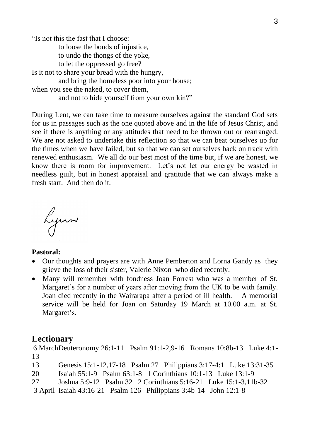"Is not this the fast that I choose:

to loose the bonds of injustice,

to undo the thongs of the yoke,

to let the oppressed go free?

Is it not to share your bread with the hungry,

and bring the homeless poor into your house;

when you see the naked, to cover them,

and not to hide yourself from your own kin?"

During Lent, we can take time to measure ourselves against the standard God sets for us in passages such as the one quoted above and in the life of Jesus Christ, and see if there is anything or any attitudes that need to be thrown out or rearranged. We are not asked to undertake this reflection so that we can beat ourselves up for the times when we have failed, but so that we can set ourselves back on track with renewed enthusiasm. We all do our best most of the time but, if we are honest, we know there is room for improvement. Let's not let our energy be wasted in needless guilt, but in honest appraisal and gratitude that we can always make a fresh start. And then do it.

Lynn

#### **Pastoral:**

- Our thoughts and prayers are with Anne Pemberton and Lorna Gandy as they grieve the loss of their sister, Valerie Nixon who died recently.
- Many will remember with fondness Joan Forrest who was a member of St. Margaret's for a number of years after moving from the UK to be with family. Joan died recently in the Wairarapa after a period of ill health. A memorial service will be held for Joan on Saturday 19 March at 10.00 a.m. at St. Margaret's.

#### **Lectionary**

6 MarchDeuteronomy 26:1-11 Psalm 91:1-2,9-16 Romans 10:8b-13 Luke 4:1- 13

- 13 Genesis 15:1-12,17-18 Psalm 27 Philippians 3:17-4:1 Luke 13:31-35
- 20 Isaiah 55:1-9 Psalm 63:1-8 1 Corinthians 10:1-13 Luke 13:1-9
- 27 Joshua 5:9-12 Psalm 32 2 Corinthians 5:16-21 Luke 15:1-3,11b-32
- 3 April Isaiah 43:16-21 Psalm 126 Philippians 3:4b-14 John 12:1-8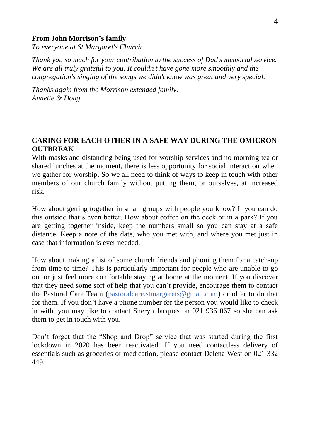#### **From John Morrison's family**

*To everyone at St Margaret's Church*

*Thank you so much for your contribution to the success of Dad's memorial service. We are all truly grateful to you. It couldn't have gone more smoothly and the congregation's singing of the songs we didn't know was great and very special.*

*Thanks again from the Morrison extended family. Annette & Doug*

#### **CARING FOR EACH OTHER IN A SAFE WAY DURING THE OMICRON OUTBREAK**

With masks and distancing being used for worship services and no morning tea or shared lunches at the moment, there is less opportunity for social interaction when we gather for worship. So we all need to think of ways to keep in touch with other members of our church family without putting them, or ourselves, at increased risk.

How about getting together in small groups with people you know? If you can do this outside that's even better. How about coffee on the deck or in a park? If you are getting together inside, keep the numbers small so you can stay at a safe distance. Keep a note of the date, who you met with, and where you met just in case that information is ever needed.

How about making a list of some church friends and phoning them for a catch-up from time to time? This is particularly important for people who are unable to go out or just feel more comfortable staying at home at the moment. If you discover that they need some sort of help that you can't provide, encourage them to contact the Pastoral Care Team [\(pastoralcare.stmargarets@gmail.com\)](mailto:pastoralcare.stmargarets@gmail.com) or offer to do that for them. If you don't have a phone number for the person you would like to check in with, you may like to contact Sheryn Jacques on 021 936 067 so she can ask them to get in touch with you.

Don't forget that the "Shop and Drop" service that was started during the first lockdown in 2020 has been reactivated. If you need contactless delivery of essentials such as groceries or medication, please contact Delena West on 021 332 449.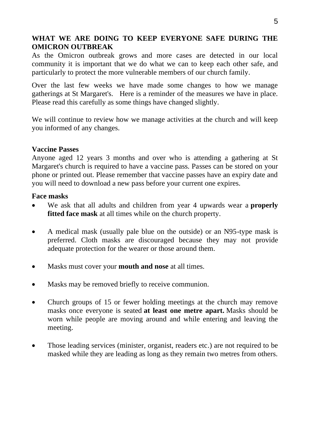#### **WHAT WE ARE DOING TO KEEP EVERYONE SAFE DURING THE OMICRON OUTBREAK**

As the Omicron outbreak grows and more cases are detected in our local community it is important that we do what we can to keep each other safe, and particularly to protect the more vulnerable members of our church family.

Over the last few weeks we have made some changes to how we manage gatherings at St Margaret's. Here is a reminder of the measures we have in place. Please read this carefully as some things have changed slightly.

We will continue to review how we manage activities at the church and will keep you informed of any changes.

#### **Vaccine Passes**

Anyone aged 12 years 3 months and over who is attending a gathering at St Margaret's church is required to have a vaccine pass. Passes can be stored on your phone or printed out. Please remember that vaccine passes have an expiry date and you will need to download a new pass before your current one expires.

#### **Face masks**

- We ask that all adults and children from year 4 upwards wear a **properly fitted face mask** at all times while on the church property.
- A medical mask (usually pale blue on the outside) or an N95-type mask is preferred. Cloth masks are discouraged because they may not provide adequate protection for the wearer or those around them.
- Masks must cover your **mouth and nose** at all times.
- Masks may be removed briefly to receive communion.
- Church groups of 15 or fewer holding meetings at the church may remove masks once everyone is seated **at least one metre apart.** Masks should be worn while people are moving around and while entering and leaving the meeting.
- Those leading services (minister, organist, readers etc.) are not required to be masked while they are leading as long as they remain two metres from others.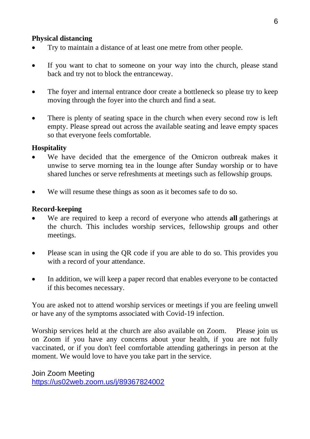#### **Physical distancing**

- Try to maintain a distance of at least one metre from other people.
- If you want to chat to someone on your way into the church, please stand back and try not to block the entranceway.
- The foyer and internal entrance door create a bottleneck so please try to keep moving through the foyer into the church and find a seat.
- There is plenty of seating space in the church when every second row is left empty. Please spread out across the available seating and leave empty spaces so that everyone feels comfortable.

#### **Hospitality**

- We have decided that the emergence of the Omicron outbreak makes it unwise to serve morning tea in the lounge after Sunday worship or to have shared lunches or serve refreshments at meetings such as fellowship groups.
- We will resume these things as soon as it becomes safe to do so.

#### **Record-keeping**

- We are required to keep a record of everyone who attends **all** gatherings at the church. This includes worship services, fellowship groups and other meetings.
- Please scan in using the QR code if you are able to do so. This provides you with a record of your attendance.
- In addition, we will keep a paper record that enables everyone to be contacted if this becomes necessary.

You are asked not to attend worship services or meetings if you are feeling unwell or have any of the symptoms associated with Covid-19 infection.

Worship services held at the church are also available on Zoom. Please join us on Zoom if you have any concerns about your health, if you are not fully vaccinated, or if you don't feel comfortable attending gatherings in person at the moment. We would love to have you take part in the service.

Join Zoom Meeting <https://us02web.zoom.us/j/89367824002>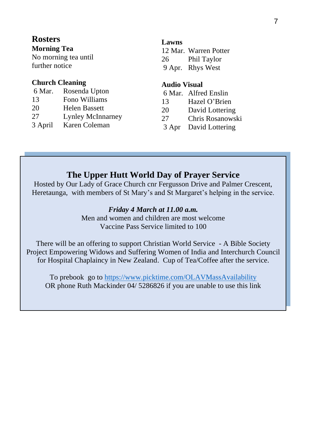## **Rosters**

#### **Morning Tea**

No morning tea until further notice

#### **Church Cleaning**

| 6 Mar. | Rosenda Upton   |
|--------|-----------------|
| $\sim$ | <b>--------</b> |

- 13 Fono Williams 20 Helen Bassett
- 
- 27 Lynley McInnarney
- 3 April Karen Coleman

#### **Lawns**

|    | 12 Mar. Warren Potter |
|----|-----------------------|
| 26 | Phil Taylor           |
|    | 9 Apr. Rhys West      |

#### **Audio Visual**

- 6 Mar. Alfred Enslin
- 13 Hazel O'Brien
- 20 David Lottering
- 27 Chris Rosanowski
- 3 Apr David Lottering

## **The Upper Hutt World Day of Prayer Service**

Hosted by Our Lady of Grace Church cnr Fergusson Drive and Palmer Crescent, Heretaunga, with members of St Mary's and St Margaret's helping in the service.

#### *Friday 4 March at 11.00 a.m.*

Men and women and children are most welcome Vaccine Pass Service limited to 100

There will be an offering to support Christian World Service - A Bible Society Project Empowering Widows and Suffering Women of India and Interchurch Council for Hospital Chaplaincy in New Zealand. Cup of Tea/Coffee after the service.

To prebook go t[o https://www.picktime.com/OLAVMassAvailability](https://www.picktime.com/OLAVMassAvailability) OR phone Ruth Mackinder 04/ 5286826 if you are unable to use this link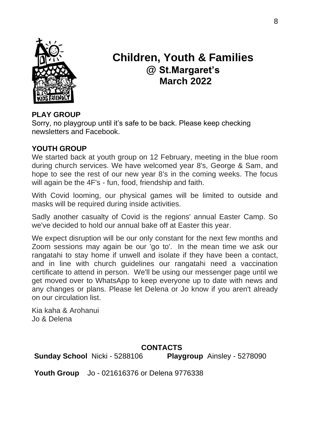

# **Children, Youth & Families @ St.Margaret's March 2022**

## **PLAY GROUP**

Sorry, no playgroup until it's safe to be back. Please keep checking newsletters and Facebook.

### **YOUTH GROUP**

We started back at youth group on 12 February, meeting in the blue room during church services. We have welcomed year 8's, George & Sam, and hope to see the rest of our new year 8's in the coming weeks. The focus will again be the 4F's - fun, food, friendship and faith.

With Covid looming, our physical games will be limited to outside and masks will be required during inside activities.

Sadly another casualty of Covid is the regions' annual Easter Camp. So we've decided to hold our annual bake off at Easter this year.

We expect disruption will be our only constant for the next few months and Zoom sessions may again be our 'go to'. In the mean time we ask our rangatahi to stay home if unwell and isolate if they have been a contact, and in line with church guidelines our rangatahi need a vaccination certificate to attend in person. We'll be using our messenger page until we get moved over to WhatsApp to keep everyone up to date with news and any changes or plans. Please let Delena or Jo know if you aren't already on our circulation list.

Kia kaha & Arohanui Jo & Delena

#### **CONTACTS**

**Sunday School** Nicki - 5288106 **Playgroup** Ainsley - 5278090

**Youth Group** Jo - 021616376 or Delena 9776338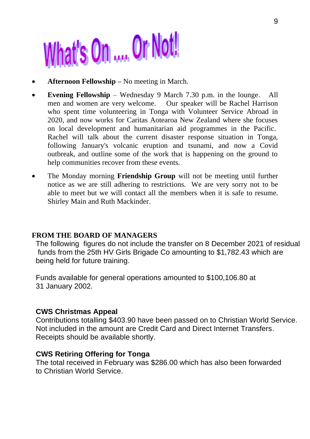# What's On .... Or Not!

- **Afternoon Fellowship** No meeting in March.
- **Evening Fellowship**  Wednesday 9 March 7.30 p.m. in the lounge. All men and women are very welcome. Our speaker will be Rachel Harrison who spent time volunteering in Tonga with Volunteer Service Abroad in 2020, and now works for Caritas Aotearoa New Zealand where she focuses on local development and humanitarian aid programmes in the Pacific. Rachel will talk about the current disaster response situation in Tonga, following January's volcanic eruption and tsunami, and now a Covid outbreak, and outline some of the work that is happening on the ground to help communities recover from these events.
- The Monday morning **Friendship Group** will not be meeting until further notice as we are still adhering to restrictions. We are very sorry not to be able to meet but we will contact all the members when it is safe to resume. Shirley Main and Ruth Mackinder.

#### **FROM THE BOARD OF MANAGERS**

The following figures do not include the transfer on 8 December 2021 of residual funds from the 25th HV Girls Brigade Co amounting to \$1,782.43 which are being held for future training.

Funds available for general operations amounted to \$100,106.80 at 31 January 2002.

#### **CWS Christmas Appeal**

Contributions totalling \$403.90 have been passed on to Christian World Service. Not included in the amount are Credit Card and Direct Internet Transfers. Receipts should be available shortly.

#### **CWS Retiring Offering for Tonga**

The total received in February was \$286.00 which has also been forwarded to Christian World Service.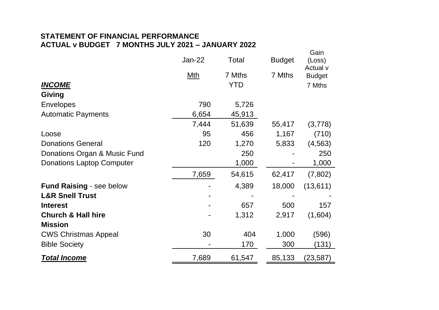#### **STATEMENT OF FINANCIAL PERFORMANCE ACTUAL v BUDGET 7 MONTHS JULY 2021 – JANUARY 2022**

|                                 | Jan-22 | Total  | <b>Budget</b> | Gain<br>(Loss)<br>Actual v |
|---------------------------------|--------|--------|---------------|----------------------------|
|                                 | Mth    | 7 Mths | 7 Mths        | <b>Budget</b>              |
| <b>INCOME</b>                   |        | YTD    |               | 7 Mths                     |
| Giving                          |        |        |               |                            |
| Envelopes                       | 790    | 5,726  |               |                            |
| Automatic Payments              | 6,654  | 45,913 |               |                            |
|                                 | 7,444  | 51,639 | 55,417        | (3,778)                    |
| Loose                           | 95     | 456    | 1,167         | (710)                      |
| <b>Donations General</b>        | 120    | 1,270  | 5,833         | (4, 563)                   |
| Donations Organ & Music Fund    |        | 250    |               | 250                        |
| Donations Laptop Computer       |        | 1,000  |               | 1,000                      |
|                                 | 7,659  | 54,615 | 62,417        | (7,802)                    |
| <b>Fund Raising - see below</b> |        | 4,389  | 18,000        | (13,611)                   |
| <b>L&amp;R Snell Trust</b>      |        |        |               |                            |
| <b>Interest</b>                 |        | 657    | 500           | 157                        |
| <b>Church &amp; Hall hire</b>   |        | 1,312  | 2,917         | (1,604)                    |
| <b>Mission</b>                  |        |        |               |                            |
| <b>CWS Christmas Appeal</b>     | 30     | 404    | 1,000         | (596)                      |
| <b>Bible Society</b>            |        | 170    | 300           | (131)                      |
| <b>Total Income</b>             | 7,689  | 61,547 | 85,133        | (23,587)                   |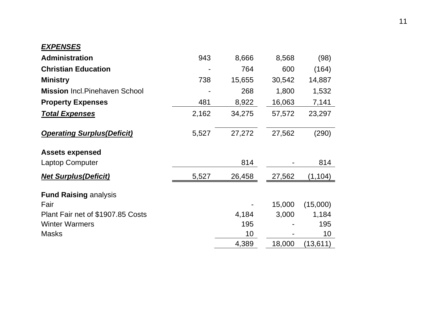## *EXPENSES*

| <b>Administration</b>                 | 943   | 8,666  | 8,568  | (98)      |
|---------------------------------------|-------|--------|--------|-----------|
| <b>Christian Education</b>            |       | 764    | 600    | (164)     |
| <b>Ministry</b>                       | 738   | 15,655 | 30,542 | 14,887    |
| <b>Mission</b> Incl. Pinehaven School |       | 268    | 1,800  | 1,532     |
| <b>Property Expenses</b>              | 481   | 8,922  | 16,063 | 7,141     |
| <b>Total Expenses</b>                 | 2,162 | 34,275 | 57,572 | 23,297    |
| <b>Operating Surplus (Deficit)</b>    | 5,527 | 27,272 | 27,562 | (290)     |
| <b>Assets expensed</b>                |       |        |        |           |
| Laptop Computer                       |       | 814    |        | 814       |
| <b>Net Surplus (Deficit)</b>          | 5,527 | 26,458 | 27,562 | (1, 104)  |
| <b>Fund Raising analysis</b>          |       |        |        |           |
| Fair                                  |       |        | 15,000 | (15,000)  |
| Plant Fair net of \$1907.85 Costs     |       | 4,184  | 3,000  | 1,184     |
| <b>Winter Warmers</b>                 |       | 195    |        | 195       |
| Masks                                 |       | 10     |        | 10        |
|                                       |       | 4,389  | 18,000 | (13, 611) |